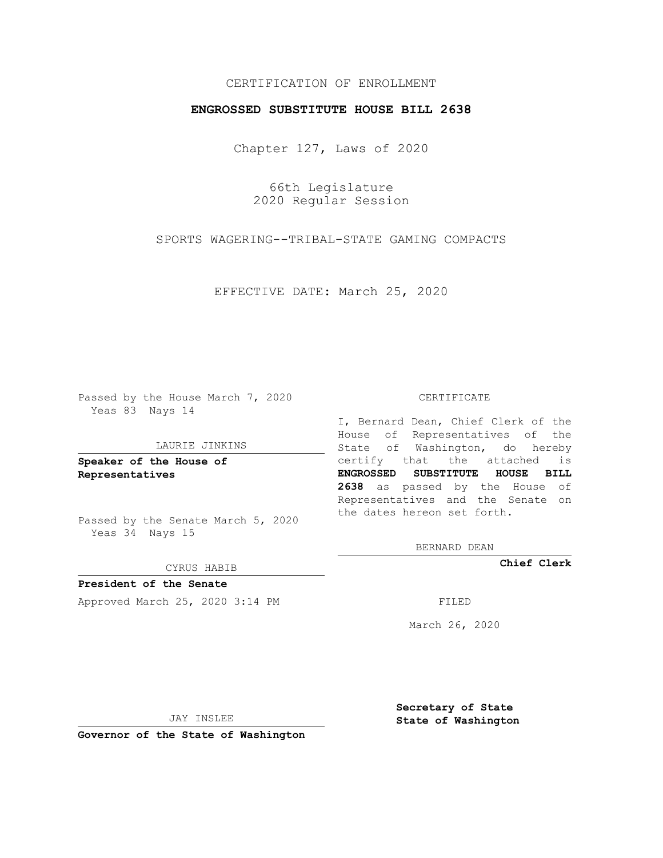## CERTIFICATION OF ENROLLMENT

## **ENGROSSED SUBSTITUTE HOUSE BILL 2638**

Chapter 127, Laws of 2020

66th Legislature 2020 Regular Session

SPORTS WAGERING--TRIBAL-STATE GAMING COMPACTS

EFFECTIVE DATE: March 25, 2020

Passed by the House March 7, 2020 Yeas 83 Nays 14

### LAURIE JINKINS

**Speaker of the House of Representatives**

Passed by the Senate March 5, 2020 Yeas 34 Nays 15

CYRUS HABIB

**President of the Senate** Approved March 25, 2020 3:14 PM

#### CERTIFICATE

I, Bernard Dean, Chief Clerk of the House of Representatives of the State of Washington, do hereby certify that the attached is **ENGROSSED SUBSTITUTE HOUSE BILL 2638** as passed by the House of Representatives and the Senate on the dates hereon set forth.

BERNARD DEAN

**Chief Clerk**

March 26, 2020

JAY INSLEE

**Governor of the State of Washington**

**Secretary of State State of Washington**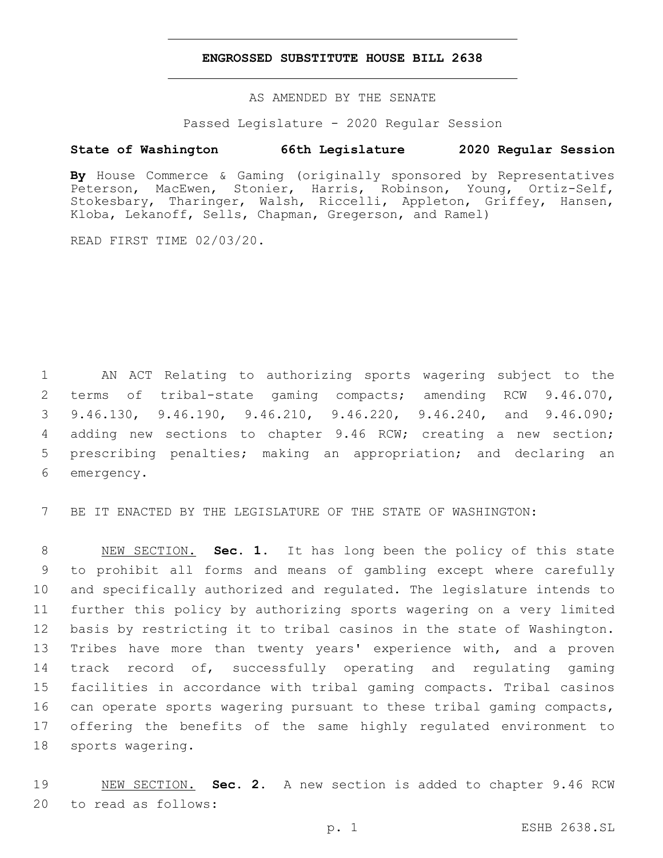## **ENGROSSED SUBSTITUTE HOUSE BILL 2638**

AS AMENDED BY THE SENATE

Passed Legislature - 2020 Regular Session

# **State of Washington 66th Legislature 2020 Regular Session**

**By** House Commerce & Gaming (originally sponsored by Representatives Peterson, MacEwen, Stonier, Harris, Robinson, Young, Ortiz-Self, Stokesbary, Tharinger, Walsh, Riccelli, Appleton, Griffey, Hansen, Kloba, Lekanoff, Sells, Chapman, Gregerson, and Ramel)

READ FIRST TIME 02/03/20.

 AN ACT Relating to authorizing sports wagering subject to the terms of tribal-state gaming compacts; amending RCW 9.46.070, 9.46.130, 9.46.190, 9.46.210, 9.46.220, 9.46.240, and 9.46.090; adding new sections to chapter 9.46 RCW; creating a new section; prescribing penalties; making an appropriation; and declaring an 6 emergency.

7 BE IT ENACTED BY THE LEGISLATURE OF THE STATE OF WASHINGTON:

 NEW SECTION. **Sec. 1.** It has long been the policy of this state to prohibit all forms and means of gambling except where carefully and specifically authorized and regulated. The legislature intends to further this policy by authorizing sports wagering on a very limited basis by restricting it to tribal casinos in the state of Washington. Tribes have more than twenty years' experience with, and a proven track record of, successfully operating and regulating gaming facilities in accordance with tribal gaming compacts. Tribal casinos can operate sports wagering pursuant to these tribal gaming compacts, offering the benefits of the same highly regulated environment to sports wagering.

19 NEW SECTION. **Sec. 2.** A new section is added to chapter 9.46 RCW 20 to read as follows: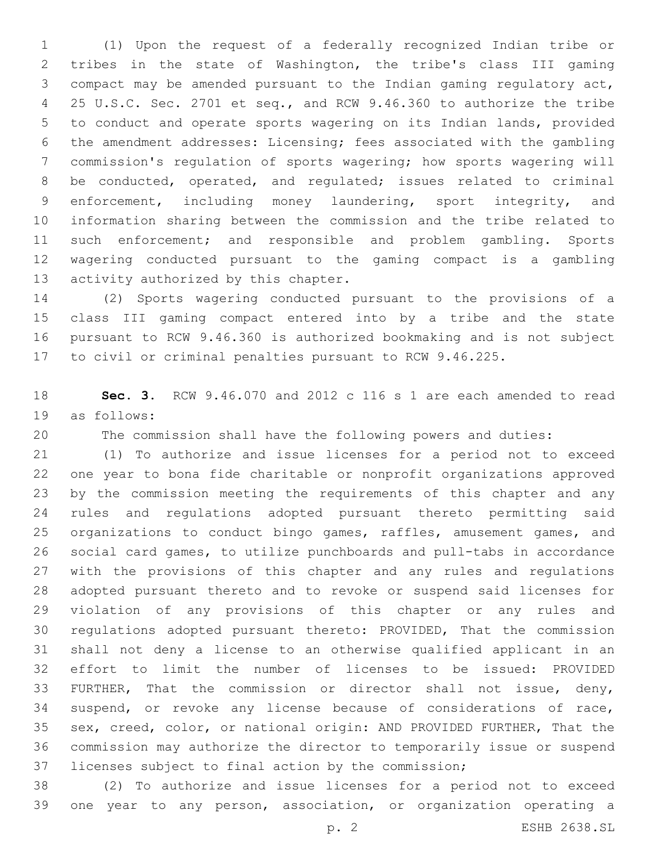(1) Upon the request of a federally recognized Indian tribe or tribes in the state of Washington, the tribe's class III gaming compact may be amended pursuant to the Indian gaming regulatory act, 25 U.S.C. Sec. 2701 et seq., and RCW 9.46.360 to authorize the tribe to conduct and operate sports wagering on its Indian lands, provided the amendment addresses: Licensing; fees associated with the gambling commission's regulation of sports wagering; how sports wagering will be conducted, operated, and regulated; issues related to criminal enforcement, including money laundering, sport integrity, and information sharing between the commission and the tribe related to such enforcement; and responsible and problem gambling. Sports wagering conducted pursuant to the gaming compact is a gambling 13 activity authorized by this chapter.

 (2) Sports wagering conducted pursuant to the provisions of a class III gaming compact entered into by a tribe and the state pursuant to RCW 9.46.360 is authorized bookmaking and is not subject to civil or criminal penalties pursuant to RCW 9.46.225.

 **Sec. 3.** RCW 9.46.070 and 2012 c 116 s 1 are each amended to read 19 as follows:

The commission shall have the following powers and duties:

 (1) To authorize and issue licenses for a period not to exceed one year to bona fide charitable or nonprofit organizations approved by the commission meeting the requirements of this chapter and any rules and regulations adopted pursuant thereto permitting said organizations to conduct bingo games, raffles, amusement games, and social card games, to utilize punchboards and pull-tabs in accordance with the provisions of this chapter and any rules and regulations adopted pursuant thereto and to revoke or suspend said licenses for violation of any provisions of this chapter or any rules and regulations adopted pursuant thereto: PROVIDED, That the commission shall not deny a license to an otherwise qualified applicant in an effort to limit the number of licenses to be issued: PROVIDED FURTHER, That the commission or director shall not issue, deny, suspend, or revoke any license because of considerations of race, sex, creed, color, or national origin: AND PROVIDED FURTHER, That the commission may authorize the director to temporarily issue or suspend licenses subject to final action by the commission;

 (2) To authorize and issue licenses for a period not to exceed one year to any person, association, or organization operating a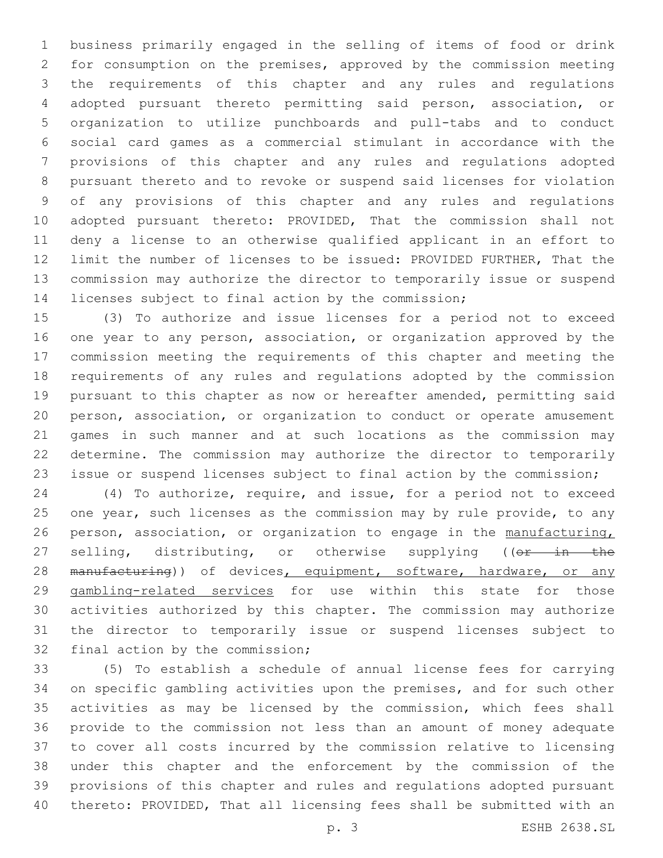business primarily engaged in the selling of items of food or drink for consumption on the premises, approved by the commission meeting the requirements of this chapter and any rules and regulations adopted pursuant thereto permitting said person, association, or organization to utilize punchboards and pull-tabs and to conduct social card games as a commercial stimulant in accordance with the provisions of this chapter and any rules and regulations adopted pursuant thereto and to revoke or suspend said licenses for violation of any provisions of this chapter and any rules and regulations adopted pursuant thereto: PROVIDED, That the commission shall not deny a license to an otherwise qualified applicant in an effort to limit the number of licenses to be issued: PROVIDED FURTHER, That the commission may authorize the director to temporarily issue or suspend licenses subject to final action by the commission;

 (3) To authorize and issue licenses for a period not to exceed one year to any person, association, or organization approved by the commission meeting the requirements of this chapter and meeting the requirements of any rules and regulations adopted by the commission pursuant to this chapter as now or hereafter amended, permitting said person, association, or organization to conduct or operate amusement games in such manner and at such locations as the commission may determine. The commission may authorize the director to temporarily issue or suspend licenses subject to final action by the commission;

 (4) To authorize, require, and issue, for a period not to exceed 25 one year, such licenses as the commission may by rule provide, to any person, association, or organization to engage in the manufacturing, 27 selling, distributing, or otherwise supplying ((or in the 28 manufacturing)) of devices, equipment, software, hardware, or any gambling-related services for use within this state for those activities authorized by this chapter. The commission may authorize the director to temporarily issue or suspend licenses subject to 32 final action by the commission;

 (5) To establish a schedule of annual license fees for carrying on specific gambling activities upon the premises, and for such other activities as may be licensed by the commission, which fees shall provide to the commission not less than an amount of money adequate to cover all costs incurred by the commission relative to licensing under this chapter and the enforcement by the commission of the provisions of this chapter and rules and regulations adopted pursuant thereto: PROVIDED, That all licensing fees shall be submitted with an

p. 3 ESHB 2638.SL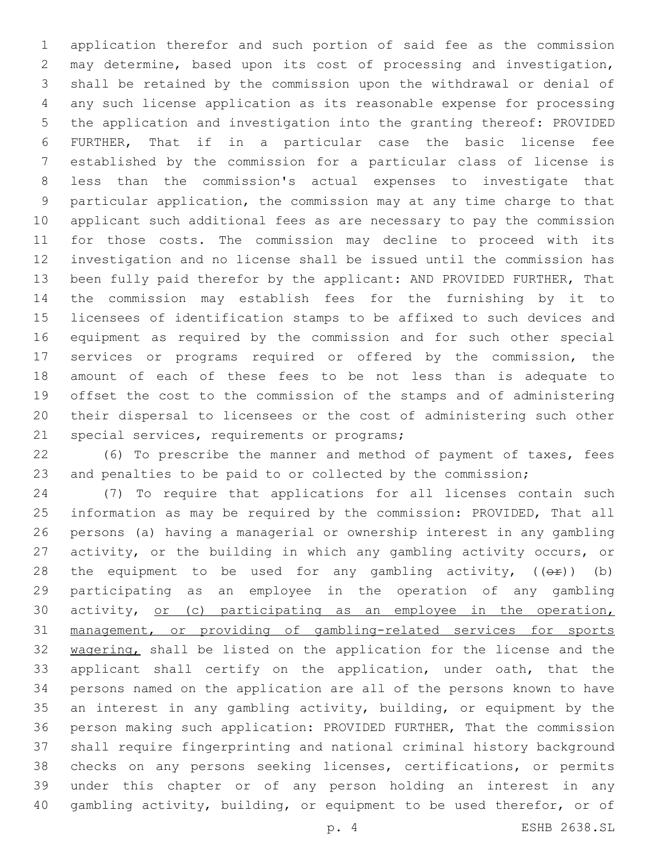application therefor and such portion of said fee as the commission may determine, based upon its cost of processing and investigation, shall be retained by the commission upon the withdrawal or denial of any such license application as its reasonable expense for processing the application and investigation into the granting thereof: PROVIDED FURTHER, That if in a particular case the basic license fee established by the commission for a particular class of license is less than the commission's actual expenses to investigate that particular application, the commission may at any time charge to that applicant such additional fees as are necessary to pay the commission for those costs. The commission may decline to proceed with its investigation and no license shall be issued until the commission has been fully paid therefor by the applicant: AND PROVIDED FURTHER, That the commission may establish fees for the furnishing by it to licensees of identification stamps to be affixed to such devices and equipment as required by the commission and for such other special services or programs required or offered by the commission, the amount of each of these fees to be not less than is adequate to offset the cost to the commission of the stamps and of administering their dispersal to licensees or the cost of administering such other 21 special services, requirements or programs;

 (6) To prescribe the manner and method of payment of taxes, fees and penalties to be paid to or collected by the commission;

 (7) To require that applications for all licenses contain such information as may be required by the commission: PROVIDED, That all persons (a) having a managerial or ownership interest in any gambling activity, or the building in which any gambling activity occurs, or 28 the equipment to be used for any gambling activity,  $((\theta \cdot \hat{r}))$  (b) participating as an employee in the operation of any gambling 30 activity, or (c) participating as an employee in the operation, management, or providing of gambling-related services for sports 32 wagering, shall be listed on the application for the license and the applicant shall certify on the application, under oath, that the persons named on the application are all of the persons known to have an interest in any gambling activity, building, or equipment by the person making such application: PROVIDED FURTHER, That the commission shall require fingerprinting and national criminal history background checks on any persons seeking licenses, certifications, or permits under this chapter or of any person holding an interest in any gambling activity, building, or equipment to be used therefor, or of

p. 4 ESHB 2638.SL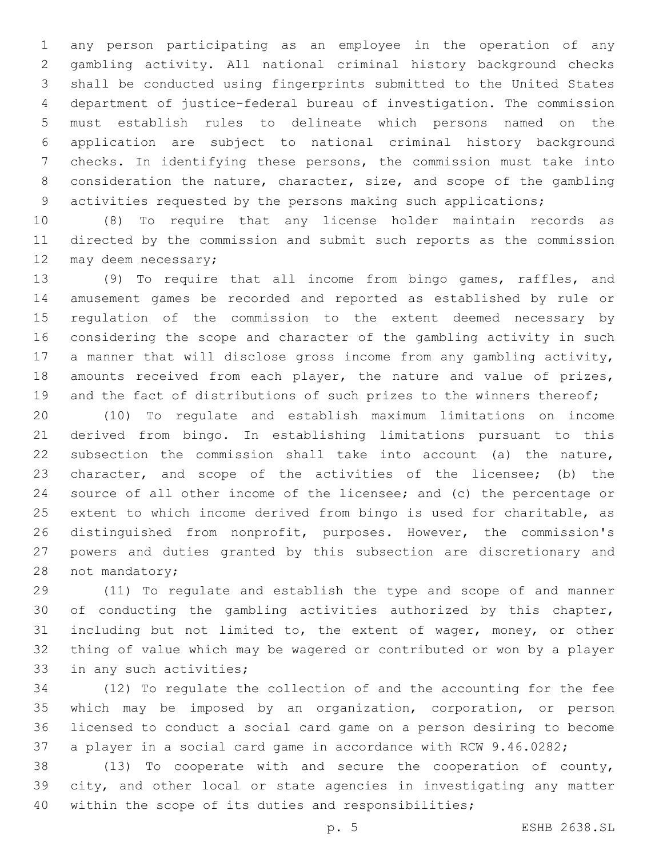any person participating as an employee in the operation of any gambling activity. All national criminal history background checks shall be conducted using fingerprints submitted to the United States department of justice-federal bureau of investigation. The commission must establish rules to delineate which persons named on the application are subject to national criminal history background checks. In identifying these persons, the commission must take into consideration the nature, character, size, and scope of the gambling activities requested by the persons making such applications;

 (8) To require that any license holder maintain records as directed by the commission and submit such reports as the commission 12 may deem necessary;

 (9) To require that all income from bingo games, raffles, and amusement games be recorded and reported as established by rule or regulation of the commission to the extent deemed necessary by considering the scope and character of the gambling activity in such a manner that will disclose gross income from any gambling activity, 18 amounts received from each player, the nature and value of prizes, 19 and the fact of distributions of such prizes to the winners thereof;

 (10) To regulate and establish maximum limitations on income derived from bingo. In establishing limitations pursuant to this subsection the commission shall take into account (a) the nature, character, and scope of the activities of the licensee; (b) the source of all other income of the licensee; and (c) the percentage or extent to which income derived from bingo is used for charitable, as distinguished from nonprofit, purposes. However, the commission's powers and duties granted by this subsection are discretionary and 28 not mandatory;

 (11) To regulate and establish the type and scope of and manner of conducting the gambling activities authorized by this chapter, including but not limited to, the extent of wager, money, or other thing of value which may be wagered or contributed or won by a player 33 in any such activities;

 (12) To regulate the collection of and the accounting for the fee which may be imposed by an organization, corporation, or person licensed to conduct a social card game on a person desiring to become a player in a social card game in accordance with RCW 9.46.0282;

 (13) To cooperate with and secure the cooperation of county, city, and other local or state agencies in investigating any matter within the scope of its duties and responsibilities;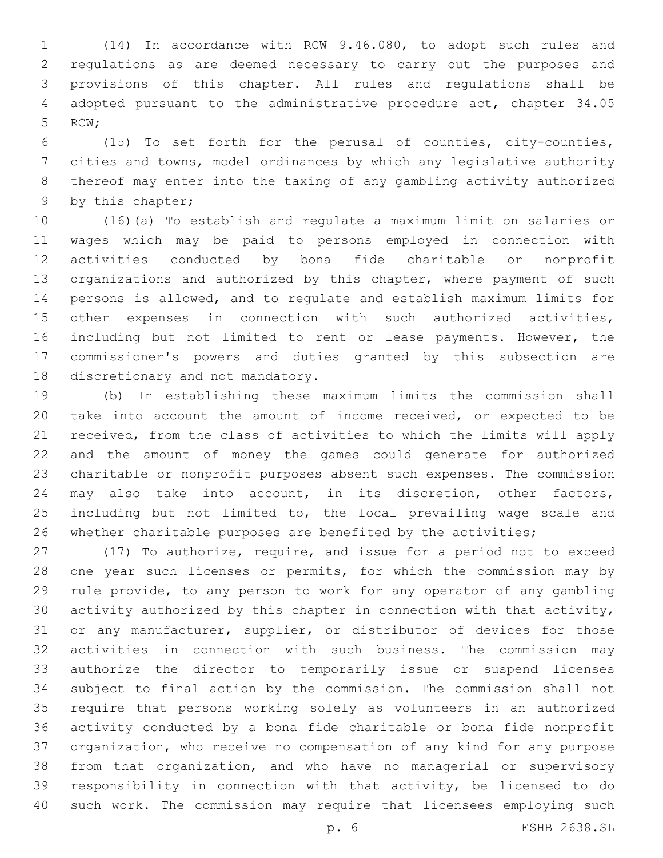(14) In accordance with RCW 9.46.080, to adopt such rules and regulations as are deemed necessary to carry out the purposes and provisions of this chapter. All rules and regulations shall be adopted pursuant to the administrative procedure act, chapter 34.05 5 RCW;

 (15) To set forth for the perusal of counties, city-counties, cities and towns, model ordinances by which any legislative authority thereof may enter into the taxing of any gambling activity authorized 9 by this chapter;

 (16)(a) To establish and regulate a maximum limit on salaries or wages which may be paid to persons employed in connection with activities conducted by bona fide charitable or nonprofit organizations and authorized by this chapter, where payment of such persons is allowed, and to regulate and establish maximum limits for other expenses in connection with such authorized activities, including but not limited to rent or lease payments. However, the commissioner's powers and duties granted by this subsection are 18 discretionary and not mandatory.

 (b) In establishing these maximum limits the commission shall take into account the amount of income received, or expected to be received, from the class of activities to which the limits will apply and the amount of money the games could generate for authorized charitable or nonprofit purposes absent such expenses. The commission may also take into account, in its discretion, other factors, 25 including but not limited to, the local prevailing wage scale and whether charitable purposes are benefited by the activities;

 (17) To authorize, require, and issue for a period not to exceed one year such licenses or permits, for which the commission may by rule provide, to any person to work for any operator of any gambling activity authorized by this chapter in connection with that activity, or any manufacturer, supplier, or distributor of devices for those activities in connection with such business. The commission may authorize the director to temporarily issue or suspend licenses subject to final action by the commission. The commission shall not require that persons working solely as volunteers in an authorized activity conducted by a bona fide charitable or bona fide nonprofit organization, who receive no compensation of any kind for any purpose from that organization, and who have no managerial or supervisory responsibility in connection with that activity, be licensed to do such work. The commission may require that licensees employing such

p. 6 ESHB 2638.SL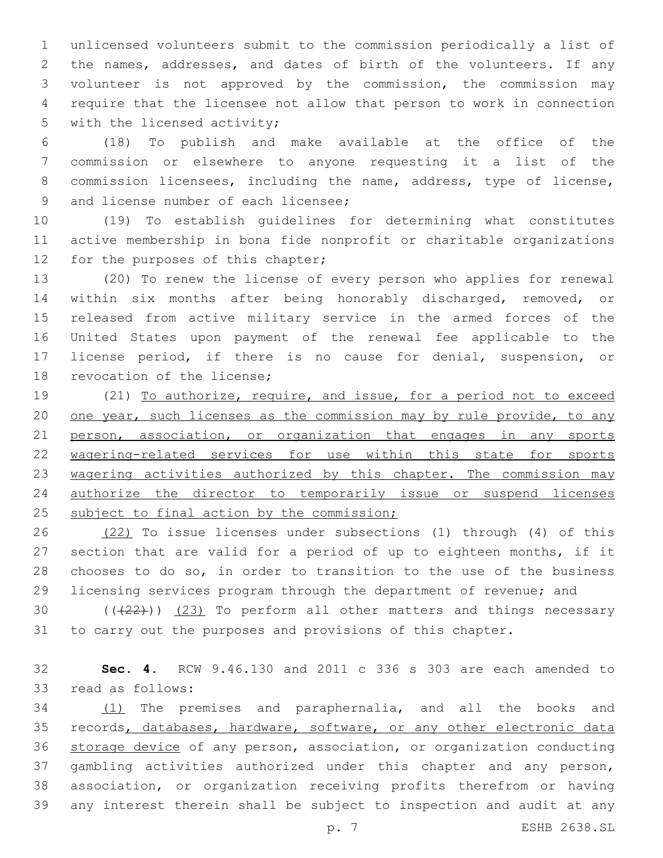unlicensed volunteers submit to the commission periodically a list of the names, addresses, and dates of birth of the volunteers. If any volunteer is not approved by the commission, the commission may require that the licensee not allow that person to work in connection 5 with the licensed activity;

 (18) To publish and make available at the office of the commission or elsewhere to anyone requesting it a list of the commission licensees, including the name, address, type of license, 9 and license number of each licensee;

 (19) To establish guidelines for determining what constitutes active membership in bona fide nonprofit or charitable organizations 12 for the purposes of this chapter;

 (20) To renew the license of every person who applies for renewal within six months after being honorably discharged, removed, or released from active military service in the armed forces of the United States upon payment of the renewal fee applicable to the license period, if there is no cause for denial, suspension, or 18 revocation of the license;

 (21) To authorize, require, and issue, for a period not to exceed 20 one year, such licenses as the commission may by rule provide, to any 21 person, association, or organization that engages in any sports wagering-related services for use within this state for sports 23 wagering activities authorized by this chapter. The commission may authorize the director to temporarily issue or suspend licenses 25 subject to final action by the commission;

 (22) To issue licenses under subsections (1) through (4) of this section that are valid for a period of up to eighteen months, if it chooses to do so, in order to transition to the use of the business licensing services program through the department of revenue; and

30  $((+22))$   $(23)$  To perform all other matters and things necessary to carry out the purposes and provisions of this chapter.

 **Sec. 4.** RCW 9.46.130 and 2011 c 336 s 303 are each amended to 33 read as follows:

 (1) The premises and paraphernalia, and all the books and 35 records, databases, hardware, software, or any other electronic data storage device of any person, association, or organization conducting gambling activities authorized under this chapter and any person, association, or organization receiving profits therefrom or having any interest therein shall be subject to inspection and audit at any

p. 7 ESHB 2638.SL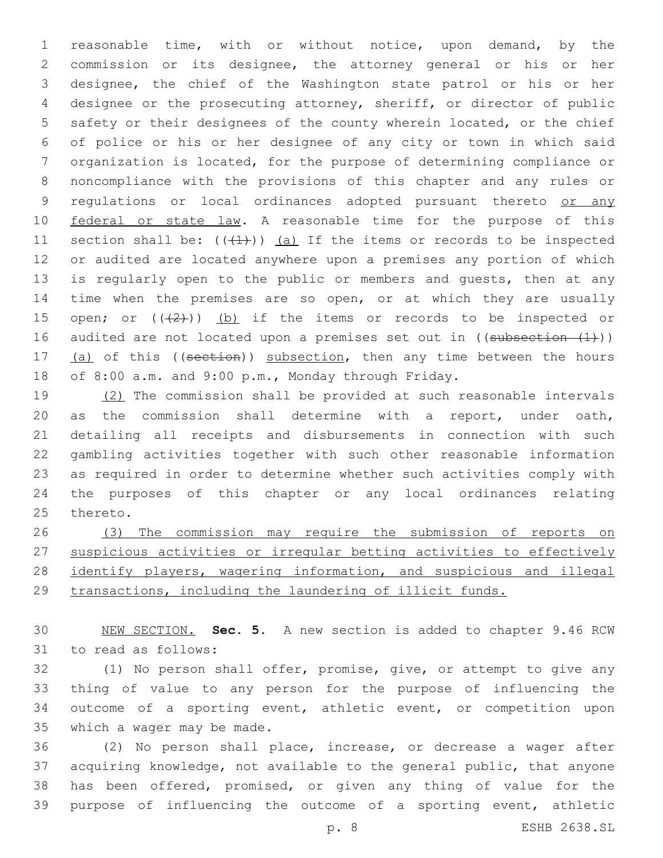reasonable time, with or without notice, upon demand, by the commission or its designee, the attorney general or his or her designee, the chief of the Washington state patrol or his or her designee or the prosecuting attorney, sheriff, or director of public safety or their designees of the county wherein located, or the chief of police or his or her designee of any city or town in which said organization is located, for the purpose of determining compliance or noncompliance with the provisions of this chapter and any rules or 9 regulations or local ordinances adopted pursuant thereto or any 10 federal or state law. A reasonable time for the purpose of this 11 section shall be:  $((+1))$  (a) If the items or records to be inspected or audited are located anywhere upon a premises any portion of which 13 is regularly open to the public or members and quests, then at any time when the premises are so open, or at which they are usually 15 open; or  $((2+))$  (b) if the items or records to be inspected or 16 audited are not located upon a premises set out in  $((subsection - (1)))$ 17 (a) of this ((section)) subsection, then any time between the hours of 8:00 a.m. and 9:00 p.m., Monday through Friday.

 (2) The commission shall be provided at such reasonable intervals as the commission shall determine with a report, under oath, detailing all receipts and disbursements in connection with such gambling activities together with such other reasonable information as required in order to determine whether such activities comply with the purposes of this chapter or any local ordinances relating 25 thereto.

 (3) The commission may require the submission of reports on suspicious activities or irregular betting activities to effectively 28 identify players, wagering information, and suspicious and illegal transactions, including the laundering of illicit funds.

 NEW SECTION. **Sec. 5.** A new section is added to chapter 9.46 RCW 31 to read as follows:

 (1) No person shall offer, promise, give, or attempt to give any thing of value to any person for the purpose of influencing the outcome of a sporting event, athletic event, or competition upon 35 which a wager may be made.

 (2) No person shall place, increase, or decrease a wager after acquiring knowledge, not available to the general public, that anyone has been offered, promised, or given any thing of value for the purpose of influencing the outcome of a sporting event, athletic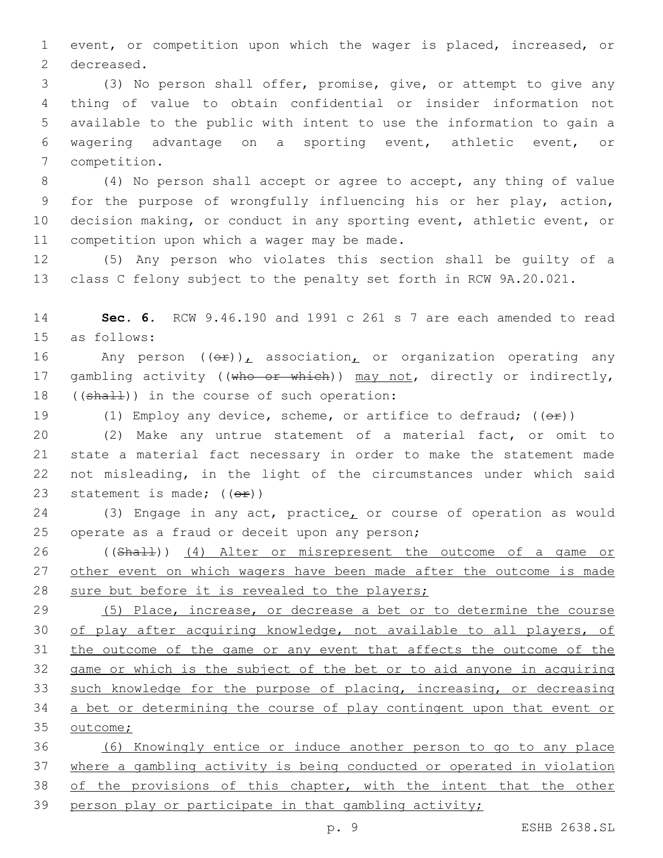event, or competition upon which the wager is placed, increased, or 2 decreased.

 (3) No person shall offer, promise, give, or attempt to give any thing of value to obtain confidential or insider information not available to the public with intent to use the information to gain a wagering advantage on a sporting event, athletic event, or 7 competition.

 (4) No person shall accept or agree to accept, any thing of value for the purpose of wrongfully influencing his or her play, action, decision making, or conduct in any sporting event, athletic event, or 11 competition upon which a wager may be made.

 (5) Any person who violates this section shall be guilty of a class C felony subject to the penalty set forth in RCW 9A.20.021.

 **Sec. 6.** RCW 9.46.190 and 1991 c 261 s 7 are each amended to read 15 as follows:

16 Any person  $((\theta \hat{r}))_L$  association<sub>L</sub> or organization operating any 17 gambling activity ((who or which)) may not, directly or indirectly, 18  $((shall))$  in the course of such operation:

19 (1) Employ any device, scheme, or artifice to defraud;  $((\theta \hat{r}))$ 

 (2) Make any untrue statement of a material fact, or omit to state a material fact necessary in order to make the statement made not misleading, in the light of the circumstances under which said 23 statement is made;  $((\theta \cdot \hat{r}))$ 

24 (3) Engage in any act, practice, or course of operation as would 25 operate as a fraud or deceit upon any person;

 ((Shall)) (4) Alter or misrepresent the outcome of a game or 27 other event on which wagers have been made after the outcome is made sure but before it is revealed to the players;

 (5) Place, increase, or decrease a bet or to determine the course of play after acquiring knowledge, not available to all players, of the outcome of the game or any event that affects the outcome of the game or which is the subject of the bet or to aid anyone in acquiring such knowledge for the purpose of placing, increasing, or decreasing a bet or determining the course of play contingent upon that event or 35 outcome;

 (6) Knowingly entice or induce another person to go to any place where a gambling activity is being conducted or operated in violation 38 of the provisions of this chapter, with the intent that the other person play or participate in that gambling activity;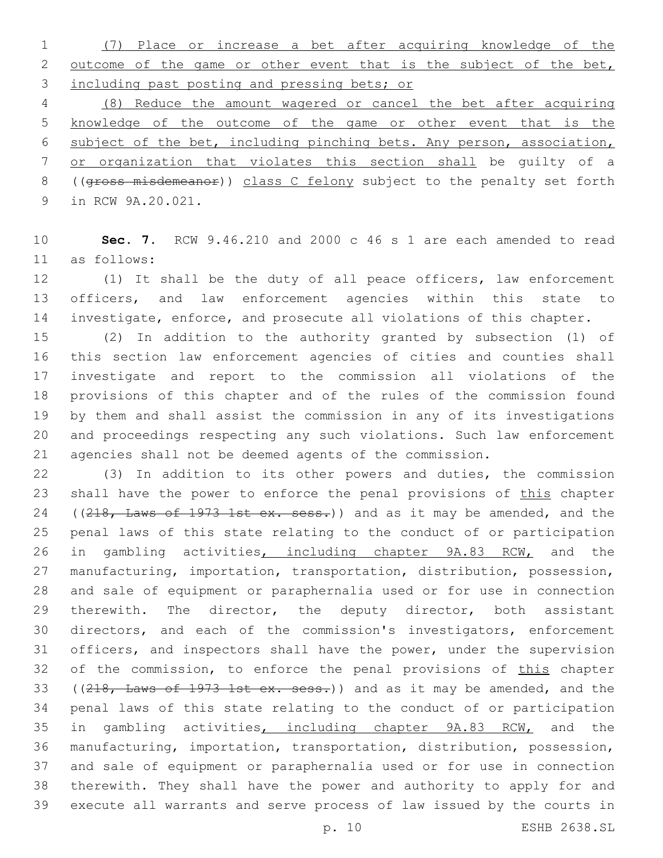(7) Place or increase a bet after acquiring knowledge of the 2 outcome of the game or other event that is the subject of the bet, including past posting and pressing bets; or

 (8) Reduce the amount wagered or cancel the bet after acquiring knowledge of the outcome of the game or other event that is the subject of the bet, including pinching bets. Any person, association, or organization that violates this section shall be guilty of a ((gross misdemeanor)) class C felony subject to the penalty set forth 9 in RCW 9A.20.021.

 **Sec. 7.** RCW 9.46.210 and 2000 c 46 s 1 are each amended to read as follows:11

 (1) It shall be the duty of all peace officers, law enforcement officers, and law enforcement agencies within this state to investigate, enforce, and prosecute all violations of this chapter.

 (2) In addition to the authority granted by subsection (1) of this section law enforcement agencies of cities and counties shall investigate and report to the commission all violations of the provisions of this chapter and of the rules of the commission found by them and shall assist the commission in any of its investigations and proceedings respecting any such violations. Such law enforcement agencies shall not be deemed agents of the commission.

 (3) In addition to its other powers and duties, the commission 23 shall have the power to enforce the penal provisions of this chapter 24 ((218, Laws of 1973 1st ex. sess.)) and as it may be amended, and the penal laws of this state relating to the conduct of or participation 26 in gambling activities, including chapter 9A.83 RCW, and the manufacturing, importation, transportation, distribution, possession, and sale of equipment or paraphernalia used or for use in connection 29 therewith. The director, the deputy director, both assistant directors, and each of the commission's investigators, enforcement officers, and inspectors shall have the power, under the supervision 32 of the commission, to enforce the penal provisions of this chapter 33 ((218, Laws of 1973 1st ex. sess.)) and as it may be amended, and the penal laws of this state relating to the conduct of or participation 35 in gambling activities, including chapter 9A.83 RCW, and the manufacturing, importation, transportation, distribution, possession, and sale of equipment or paraphernalia used or for use in connection therewith. They shall have the power and authority to apply for and execute all warrants and serve process of law issued by the courts in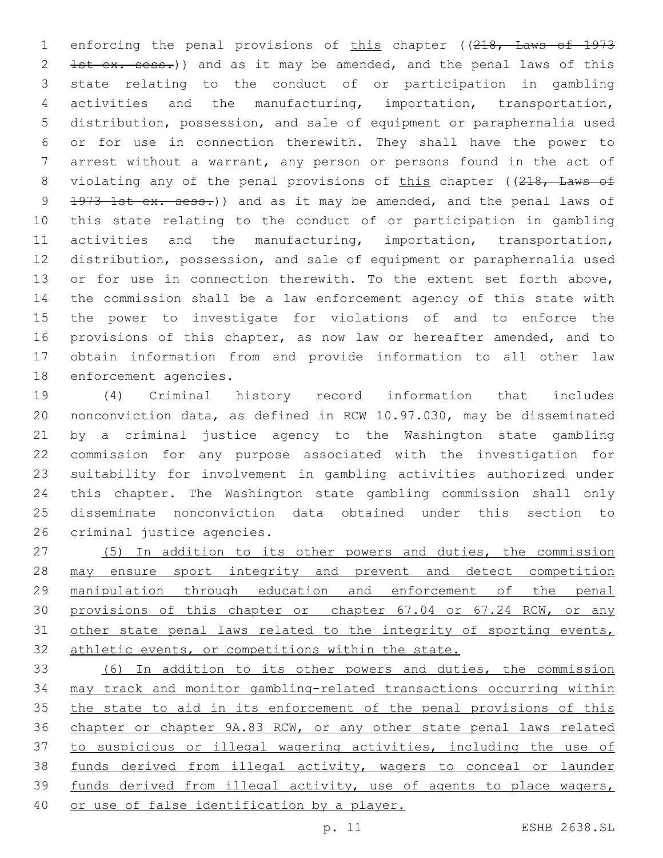1 enforcing the penal provisions of this chapter ((218, Laws of 1973 2 1st ex. sess.)) and as it may be amended, and the penal laws of this state relating to the conduct of or participation in gambling activities and the manufacturing, importation, transportation, distribution, possession, and sale of equipment or paraphernalia used or for use in connection therewith. They shall have the power to arrest without a warrant, any person or persons found in the act of 8 violating any of the penal provisions of this chapter ((218, Laws of 9 1973 1st ex. sess.)) and as it may be amended, and the penal laws of this state relating to the conduct of or participation in gambling activities and the manufacturing, importation, transportation, distribution, possession, and sale of equipment or paraphernalia used 13 or for use in connection therewith. To the extent set forth above, the commission shall be a law enforcement agency of this state with the power to investigate for violations of and to enforce the provisions of this chapter, as now law or hereafter amended, and to obtain information from and provide information to all other law 18 enforcement agencies.

 (4) Criminal history record information that includes nonconviction data, as defined in RCW 10.97.030, may be disseminated by a criminal justice agency to the Washington state gambling commission for any purpose associated with the investigation for suitability for involvement in gambling activities authorized under this chapter. The Washington state gambling commission shall only disseminate nonconviction data obtained under this section to 26 criminal justice agencies.

 (5) In addition to its other powers and duties, the commission may ensure sport integrity and prevent and detect competition manipulation through education and enforcement of the penal 30 provisions of this chapter or chapter 67.04 or 67.24 RCW, or any 31 other state penal laws related to the integrity of sporting events, athletic events, or competitions within the state.

 (6) In addition to its other powers and duties, the commission may track and monitor gambling-related transactions occurring within 35 the state to aid in its enforcement of the penal provisions of this chapter or chapter 9A.83 RCW, or any other state penal laws related to suspicious or illegal wagering activities, including the use of funds derived from illegal activity, wagers to conceal or launder funds derived from illegal activity, use of agents to place wagers, or use of false identification by a player.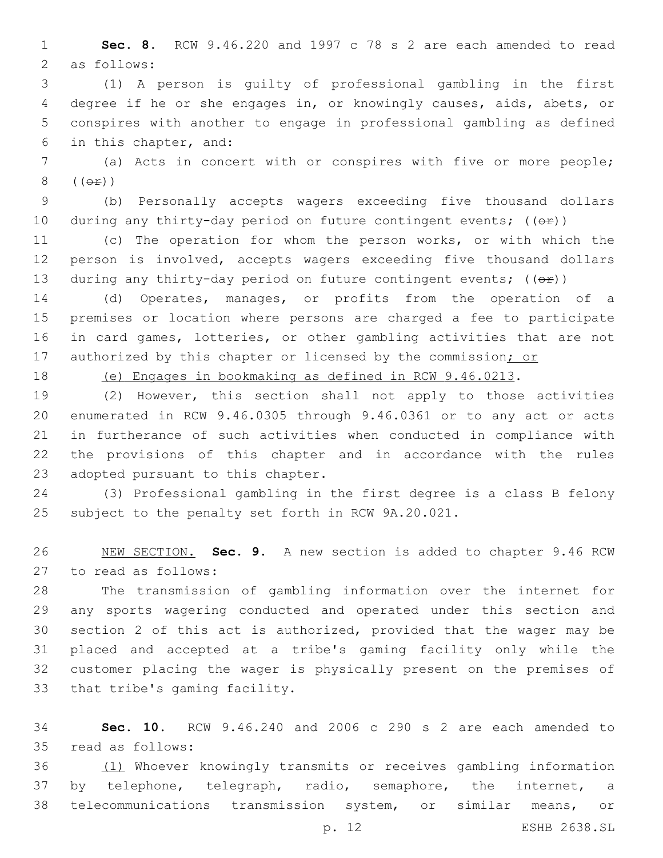**Sec. 8.** RCW 9.46.220 and 1997 c 78 s 2 are each amended to read 2 as follows:

 (1) A person is guilty of professional gambling in the first degree if he or she engages in, or knowingly causes, aids, abets, or conspires with another to engage in professional gambling as defined 6 in this chapter, and:

 (a) Acts in concert with or conspires with five or more people;  $(\Theta \pm)$ )

 (b) Personally accepts wagers exceeding five thousand dollars 10 during any thirty-day period on future contingent events;  $((e f))^2$ 

 (c) The operation for whom the person works, or with which the person is involved, accepts wagers exceeding five thousand dollars 13 during any thirty-day period on future contingent events;  $((\theta \cdot \hat{r}))$ 

 (d) Operates, manages, or profits from the operation of a premises or location where persons are charged a fee to participate in card games, lotteries, or other gambling activities that are not 17 authorized by this chapter or licensed by the commission; or

(e) Engages in bookmaking as defined in RCW 9.46.0213.

 (2) However, this section shall not apply to those activities enumerated in RCW 9.46.0305 through 9.46.0361 or to any act or acts in furtherance of such activities when conducted in compliance with the provisions of this chapter and in accordance with the rules 23 adopted pursuant to this chapter.

 (3) Professional gambling in the first degree is a class B felony subject to the penalty set forth in RCW 9A.20.021.

 NEW SECTION. **Sec. 9.** A new section is added to chapter 9.46 RCW 27 to read as follows:

 The transmission of gambling information over the internet for any sports wagering conducted and operated under this section and section 2 of this act is authorized, provided that the wager may be placed and accepted at a tribe's gaming facility only while the customer placing the wager is physically present on the premises of 33 that tribe's gaming facility.

 **Sec. 10.** RCW 9.46.240 and 2006 c 290 s 2 are each amended to read as follows:35

 (1) Whoever knowingly transmits or receives gambling information by telephone, telegraph, radio, semaphore, the internet, a telecommunications transmission system, or similar means, or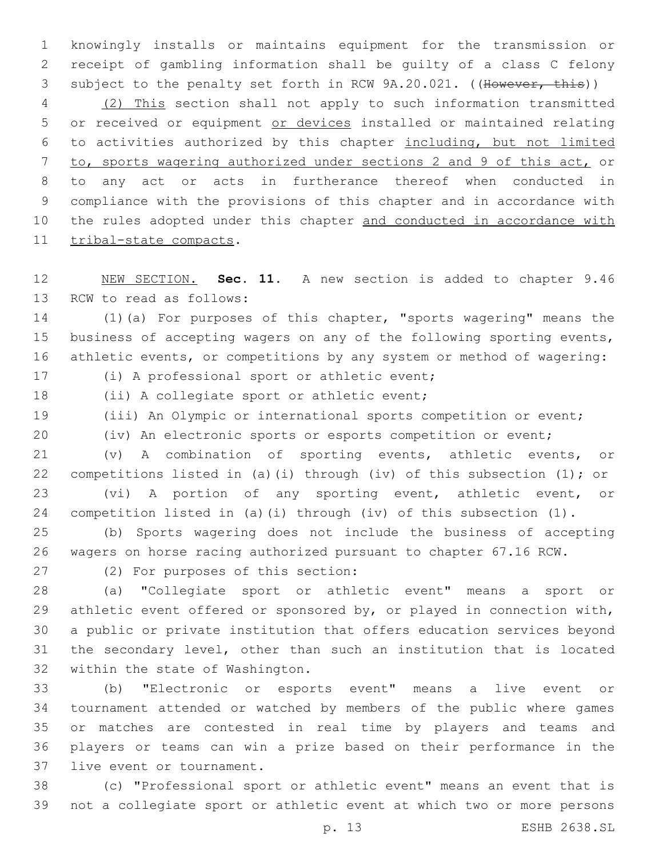knowingly installs or maintains equipment for the transmission or receipt of gambling information shall be guilty of a class C felony 3 subject to the penalty set forth in RCW 9A.20.021. ((However, this))

 (2) This section shall not apply to such information transmitted 5 or received or equipment or devices installed or maintained relating to activities authorized by this chapter including, but not limited to, sports wagering authorized under sections 2 and 9 of this act, or to any act or acts in furtherance thereof when conducted in compliance with the provisions of this chapter and in accordance with 10 the rules adopted under this chapter and conducted in accordance with 11 tribal-state compacts.

 NEW SECTION. **Sec. 11.** A new section is added to chapter 9.46 13 RCW to read as follows:

 (1)(a) For purposes of this chapter, "sports wagering" means the 15 business of accepting wagers on any of the following sporting events, athletic events, or competitions by any system or method of wagering:

17 (i) A professional sport or athletic event;

18 (ii) A collegiate sport or athletic event;

(iii) An Olympic or international sports competition or event;

(iv) An electronic sports or esports competition or event;

 (v) A combination of sporting events, athletic events, or competitions listed in (a)(i) through (iv) of this subsection (1); or (vi) A portion of any sporting event, athletic event, or competition listed in (a)(i) through (iv) of this subsection (1).

 (b) Sports wagering does not include the business of accepting wagers on horse racing authorized pursuant to chapter 67.16 RCW.

27 (2) For purposes of this section:

 (a) "Collegiate sport or athletic event" means a sport or athletic event offered or sponsored by, or played in connection with, a public or private institution that offers education services beyond the secondary level, other than such an institution that is located 32 within the state of Washington.

 (b) "Electronic or esports event" means a live event or tournament attended or watched by members of the public where games or matches are contested in real time by players and teams and players or teams can win a prize based on their performance in the 37 live event or tournament.

 (c) "Professional sport or athletic event" means an event that is not a collegiate sport or athletic event at which two or more persons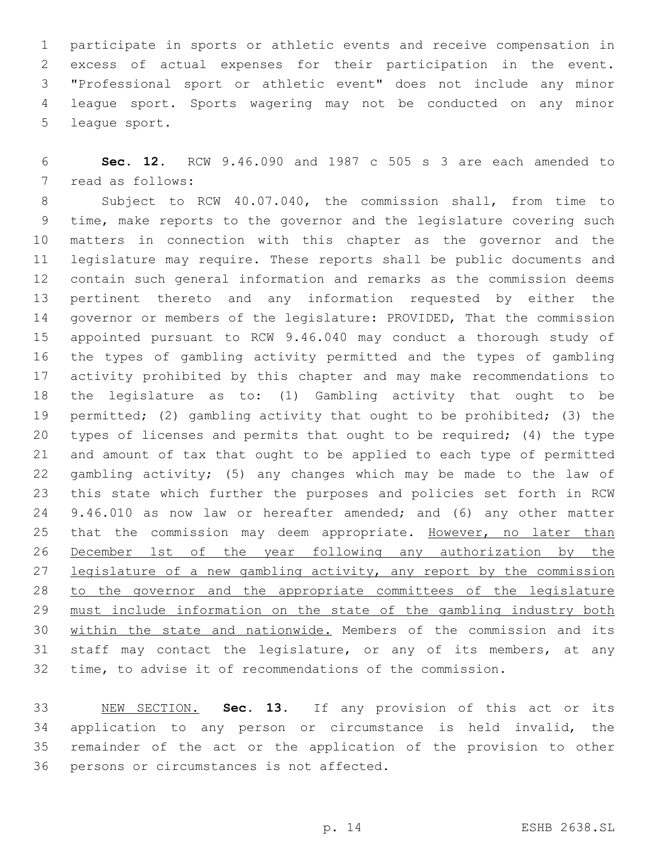participate in sports or athletic events and receive compensation in excess of actual expenses for their participation in the event. "Professional sport or athletic event" does not include any minor league sport. Sports wagering may not be conducted on any minor 5 league sport.

 **Sec. 12.** RCW 9.46.090 and 1987 c 505 s 3 are each amended to 7 read as follows:

 Subject to RCW 40.07.040, the commission shall, from time to time, make reports to the governor and the legislature covering such matters in connection with this chapter as the governor and the legislature may require. These reports shall be public documents and contain such general information and remarks as the commission deems pertinent thereto and any information requested by either the governor or members of the legislature: PROVIDED, That the commission appointed pursuant to RCW 9.46.040 may conduct a thorough study of the types of gambling activity permitted and the types of gambling activity prohibited by this chapter and may make recommendations to the legislature as to: (1) Gambling activity that ought to be permitted; (2) gambling activity that ought to be prohibited; (3) the types of licenses and permits that ought to be required; (4) the type and amount of tax that ought to be applied to each type of permitted gambling activity; (5) any changes which may be made to the law of this state which further the purposes and policies set forth in RCW 9.46.010 as now law or hereafter amended; and (6) any other matter 25 that the commission may deem appropriate. However, no later than December 1st of the year following any authorization by the 27 legislature of a new gambling activity, any report by the commission to the governor and the appropriate committees of the legislature must include information on the state of the gambling industry both within the state and nationwide. Members of the commission and its staff may contact the legislature, or any of its members, at any time, to advise it of recommendations of the commission.

 NEW SECTION. **Sec. 13.** If any provision of this act or its application to any person or circumstance is held invalid, the remainder of the act or the application of the provision to other persons or circumstances is not affected.